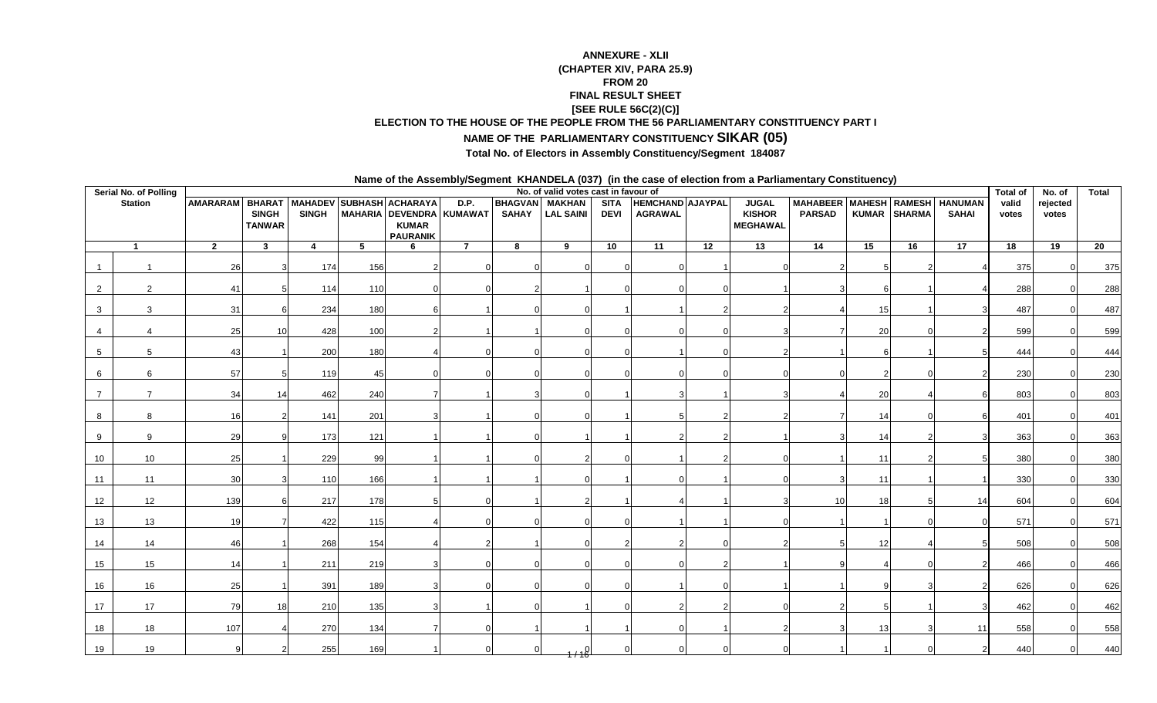## **ANNEXURE - XLII (CHAPTER XIV, PARA 25.9)FROM 20 FINAL RESULT SHEET [SEE RULE 56C(2)(C)]ELECTION TO THE HOUSE OF THE PEOPLE FROM THE 56 PARLIAMENTARY CONSTITUENCY PART I**

## **NAME OF THE PARLIAMENTARY CONSTITUENCY SIKAR (05)**

## **Total No. of Electors in Assembly Constituency/Segment 184087**

**Name of the Assembly/Segment KHANDELA (037) (in the case of election from a Parliamentary Constituency)**

|    | Serial No. of Polling |                                          |                               |              |     |                                 |                                  |              | No. of valid votes cast in favour of      |                            |                                    |                 |                                                  |                                                 |    |              |                 | <b>Total of</b> | No. of            | <b>Total</b>    |
|----|-----------------------|------------------------------------------|-------------------------------|--------------|-----|---------------------------------|----------------------------------|--------------|-------------------------------------------|----------------------------|------------------------------------|-----------------|--------------------------------------------------|-------------------------------------------------|----|--------------|-----------------|-----------------|-------------------|-----------------|
|    | <b>Station</b>        | AMARARAM BHARAT MAHADEV SUBHASH ACHARAYA | <b>SINGH</b><br><b>TANWAR</b> | <b>SINGH</b> |     | <b>KUMAR</b><br><b>PAURANIK</b> | D.P.<br>MAHARIA DEVENDRA KUMAWAT | <b>SAHAY</b> | <b>BHAGVAN</b> MAKHAN<br><b>LAL SAINI</b> | <b>SITA</b><br><b>DEVI</b> | HEMCHAND AJAYPAL<br><b>AGRAWAL</b> |                 | <b>JUGAL</b><br><b>KISHOR</b><br><b>MEGHAWAL</b> | MAHABEER MAHESH RAMESH HANUMAN<br><b>PARSAD</b> |    | KUMAR SHARMA | <b>SAHAI</b>    | valid<br>votes  | rejected<br>votes |                 |
|    |                       | $\overline{2}$                           | 3 <sup>1</sup>                | 4            | 5   | 6                               | $\overline{7}$                   | 8            | 9                                         | 10                         | $\overline{11}$                    | $\overline{12}$ | $\overline{13}$                                  | $\overline{14}$                                 | 15 | 16           | $\overline{17}$ | $\overline{18}$ | $\overline{19}$   | $\overline{20}$ |
|    |                       | 26                                       |                               | 174          | 156 |                                 |                                  |              |                                           |                            |                                    |                 |                                                  |                                                 |    |              |                 | 375             |                   | 375             |
| 2  | 2                     | 41                                       |                               | 114          | 110 |                                 |                                  |              |                                           |                            |                                    |                 |                                                  |                                                 |    |              |                 | 288             | $\Omega$          | 288             |
|    | 3                     | 31                                       |                               | 234          | 180 |                                 |                                  |              |                                           |                            |                                    |                 |                                                  |                                                 | 15 |              |                 | 487             |                   | 487             |
|    |                       | 25                                       | 10                            | 428          | 100 |                                 |                                  |              |                                           |                            |                                    |                 |                                                  |                                                 | 20 |              |                 | 599             |                   | 599             |
| 5  | 5                     | 43                                       |                               | 200          | 180 |                                 |                                  |              |                                           |                            |                                    |                 |                                                  |                                                 |    |              |                 | 444             |                   | 444             |
|    | 6                     | 57                                       |                               | 119          | 45  |                                 |                                  |              |                                           |                            |                                    |                 |                                                  |                                                 |    |              |                 | 230             |                   | 230             |
|    |                       | 34                                       | 14                            | 462          | 240 |                                 |                                  |              |                                           |                            |                                    |                 |                                                  |                                                 | 20 |              |                 | 803             |                   | 803             |
|    | я                     | 16                                       |                               | 141          | 201 |                                 |                                  |              |                                           |                            |                                    |                 |                                                  |                                                 | 14 |              |                 | 401             |                   | 401             |
|    | Q                     | 29                                       |                               | 173          | 121 |                                 |                                  |              |                                           |                            |                                    |                 |                                                  |                                                 | 14 |              |                 | 363             |                   | 363             |
| 10 | 10                    | 25                                       |                               | 229          | 99  |                                 |                                  |              |                                           |                            |                                    |                 |                                                  |                                                 | 11 |              |                 | 380             |                   | 380             |
| 11 | 11                    | 30                                       |                               | 110          | 166 |                                 |                                  |              |                                           |                            |                                    |                 |                                                  |                                                 | 11 |              |                 | 330             |                   | 330             |
| 12 | 12                    | 139                                      |                               | 217          | 178 |                                 |                                  |              |                                           |                            |                                    |                 |                                                  | 10                                              | 18 |              | 14              | 604             |                   | 604             |
| 13 | 13                    | 19                                       |                               | 422          | 115 |                                 |                                  |              |                                           |                            |                                    |                 |                                                  |                                                 |    |              |                 | 571             |                   | 571             |
| 14 | 14                    | 46                                       |                               | 268          | 154 |                                 |                                  |              |                                           |                            |                                    |                 |                                                  |                                                 | 12 |              |                 | 508             |                   | 508             |
| 15 | 15                    | 14                                       |                               | 211          | 219 |                                 |                                  |              |                                           |                            |                                    |                 |                                                  |                                                 |    |              |                 | 466             |                   | 466             |
| 16 | 16                    | 25                                       |                               | 391          | 189 |                                 |                                  |              |                                           |                            |                                    |                 |                                                  |                                                 |    |              |                 | 626             |                   | 626             |
| 17 | 17                    | 79                                       | 18                            | 210          | 135 |                                 |                                  |              |                                           |                            |                                    |                 |                                                  |                                                 |    |              |                 | 462             |                   | 462             |
| 18 | 18                    | 107                                      |                               | 270          | 134 |                                 |                                  |              |                                           |                            |                                    |                 |                                                  |                                                 | 13 |              | 11              | 558             |                   | 558             |
| 19 | 19                    |                                          |                               | 255          | 169 |                                 |                                  |              |                                           |                            |                                    |                 |                                                  |                                                 |    |              |                 | 440             |                   | 440             |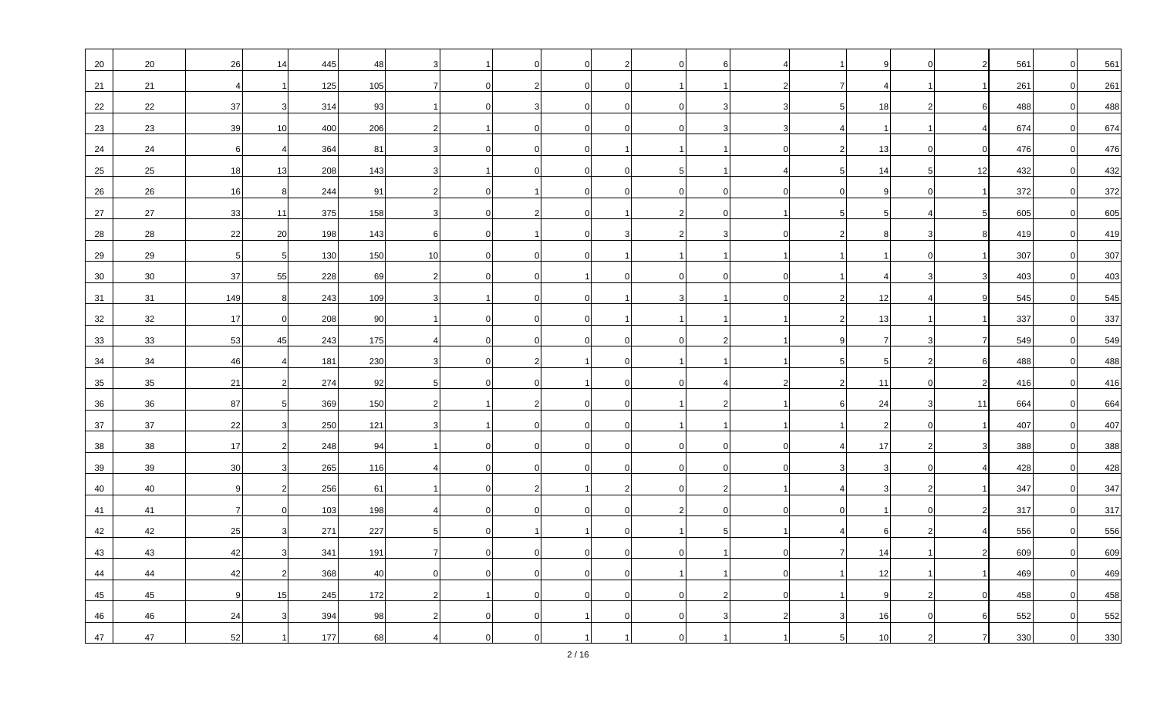| 20 | 20     | 26               | 14              | 445 | 48  |    |              |                |                |  | -6       |  |          |          | 561 | $\Omega$       | 561 |
|----|--------|------------------|-----------------|-----|-----|----|--------------|----------------|----------------|--|----------|--|----------|----------|-----|----------------|-----|
| 21 | 21     |                  |                 | 125 | 105 |    | <sup>0</sup> |                | $\Omega$       |  |          |  |          |          | 261 | $\overline{0}$ | 261 |
| 22 | 22     | 37               |                 | 314 | 93  |    |              |                |                |  |          |  | 18       |          | 488 | $\Omega$       | 488 |
| 23 | 23     | 39               | 10 <sup>1</sup> | 400 | 206 |    |              |                |                |  |          |  |          |          | 674 | $\overline{0}$ | 674 |
| 24 | 24     | $6 \overline{6}$ |                 | 364 | 81  |    | 0            | $\Omega$       | $\Omega$       |  |          |  | 13       | $\Omega$ | 476 | $\Omega$       | 476 |
| 25 | 25     | 18               | 13              | 208 | 143 |    |              |                |                |  |          |  | 14       | 12       | 432 | $\Omega$       | 432 |
| 26 | 26     | 16               | 8               | 244 | 91  |    |              |                | $\Omega$       |  | $\Omega$ |  |          |          | 372 | $\mathbf 0$    | 372 |
| 27 | 27     | 33               | 11              | 375 | 158 |    | 0            | $\overline{2}$ | $\overline{0}$ |  | $\Omega$ |  | 5        |          | 605 | $\overline{0}$ | 605 |
| 28 | 28     | 22               | 20              | 198 | 143 |    |              |                |                |  |          |  |          |          | 419 | $\overline{0}$ | 419 |
| 29 | 29     | 5 <sup>1</sup>   | 5               | 130 | 150 | 10 |              |                |                |  |          |  |          |          | 307 | $\overline{0}$ | 307 |
| 30 | 30     | 37               | 55              | 228 | 69  |    |              | $\Omega$       |                |  | $\Omega$ |  |          |          | 403 | $\Omega$       | 403 |
| 31 | 31     | 149              | 8               | 243 | 109 |    |              |                |                |  |          |  | 12       |          | 545 | $\Omega$       | 545 |
| 32 | 32     | 17               | $\Omega$        | 208 | 90  |    |              |                |                |  |          |  | 13       |          | 337 | $\overline{0}$ | 337 |
| 33 | 33     | 53               | 45              | 243 | 175 |    |              |                |                |  |          |  |          |          | 549 | $\overline{0}$ | 549 |
| 34 | 34     | 46               |                 | 181 | 230 |    |              |                |                |  |          |  |          |          | 488 | $\Omega$       | 488 |
| 35 | 35     | 21               |                 | 274 | 92  |    |              |                |                |  |          |  | 11       |          | 416 | $\overline{0}$ | 416 |
| 36 | 36     | 87               | 5 <sup>1</sup>  | 369 | 150 |    |              | 2              | $\Omega$       |  |          |  | 24       | 11       | 664 | $\Omega$       | 664 |
| 37 | 37     | 22               |                 | 250 | 121 |    |              |                |                |  |          |  |          |          | 407 | $\Omega$       | 407 |
| 38 | 38     | 17               |                 | 248 | 94  |    |              |                | $\Omega$       |  | $\Omega$ |  | 17       |          | 388 | $\Omega$       | 388 |
| 39 | 39     | 30               |                 | 265 | 116 |    |              |                |                |  |          |  |          |          | 428 | $\Omega$       | 428 |
| 40 | 40     | q                |                 | 256 | 61  |    |              |                |                |  |          |  |          |          | 347 | $\overline{0}$ | 347 |
| 41 | 41     | 7 <sup>1</sup>   |                 | 103 | 198 |    |              |                | $\Omega$       |  | $\Omega$ |  |          |          | 317 | $\overline{0}$ | 317 |
| 42 | 42     | 25               |                 | 271 | 227 |    |              |                |                |  |          |  |          |          | 556 | $\Omega$       | 556 |
| 43 | 43     | 42               |                 | 341 | 191 |    |              |                |                |  |          |  | 14       |          | 609 | $\Omega$       | 609 |
| 44 | 44     | 42               |                 | 368 | 40  |    |              |                |                |  |          |  | 12       |          | 469 | $\Omega$       | 469 |
| 45 | 45     | 9                | 15              | 245 | 172 |    |              |                |                |  |          |  | <b>q</b> |          | 458 | $\Omega$       | 458 |
| 46 | 46     | 24               |                 | 394 | 98  |    |              |                |                |  |          |  | 16       |          | 552 | $\Omega$       | 552 |
| 47 | $47\,$ | 52               |                 | 177 | 68  |    |              |                |                |  |          |  | 10       |          | 330 |                | 330 |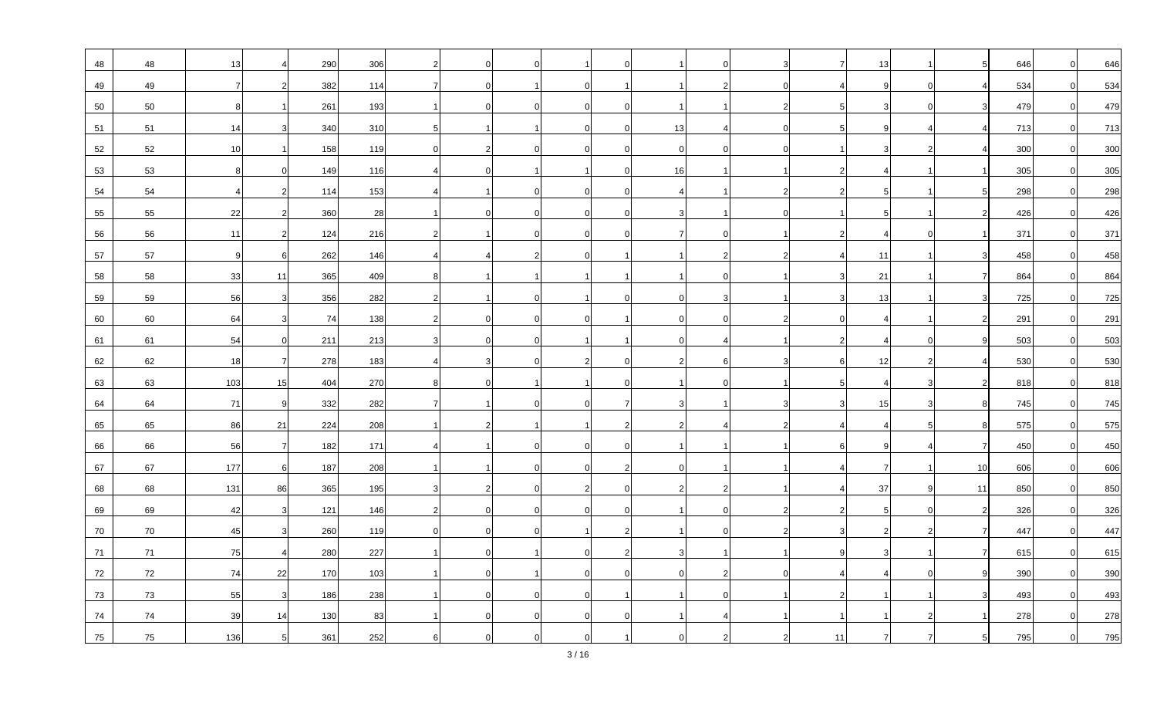| 48 | 48 | 13              |              | 290   | 306 |  |          |          |    | $\Omega$       |    | 13 |                | 646 | $\Omega$       | 646 |
|----|----|-----------------|--------------|-------|-----|--|----------|----------|----|----------------|----|----|----------------|-----|----------------|-----|
| 49 | 49 | 7               |              | 382   | 114 |  |          |          |    |                |    |    |                | 534 | $\Omega$       | 534 |
| 50 | 50 | 8               |              | 261   | 193 |  |          |          |    |                |    |    |                | 479 | $\Omega$       | 479 |
| 51 | 51 | 14              |              | 340   | 310 |  |          |          | 13 |                |    |    |                | 713 | $\overline{0}$ | 713 |
| 52 | 52 | 10 <sup>1</sup> |              | 158   | 119 |  |          |          |    |                |    |    |                | 300 | $\Omega$       | 300 |
| 53 | 53 | 8               |              | 149   | 116 |  |          |          | 16 |                |    |    |                | 305 | $\overline{0}$ | 305 |
| 54 | 54 |                 |              | 114   | 153 |  |          |          |    |                |    |    |                | 298 | $\overline{0}$ | 298 |
| 55 | 55 | 22              | 2            | 360   | 28  |  | $\Omega$ | $\Omega$ |    |                |    |    |                | 426 | $\Omega$       | 426 |
| 56 | 56 | 11              |              | 124   | 216 |  |          |          |    |                |    |    |                | 371 | $\Omega$       | 371 |
| 57 | 57 | 9               |              | 262   | 146 |  |          |          |    | 2              |    | 11 |                | 458 | $\overline{0}$ | 458 |
| 58 | 58 | 33              | 11           | 365   | 409 |  |          |          |    |                |    | 21 |                | 864 | $\Omega$       | 864 |
| 59 | 59 | 56              | 3            | 356   | 282 |  |          |          |    |                |    | 13 |                | 725 | $\Omega$       | 725 |
| 60 | 60 | 64              |              | 74    | 138 |  |          |          |    | $\overline{0}$ |    |    |                | 291 | $\overline{0}$ | 291 |
| 61 | 61 | 54              | $\mathbf 0$  | 211   | 213 |  | $\Omega$ |          |    |                |    |    |                | 503 | $\Omega$       | 503 |
| 62 | 62 | 18              | 7.           | 278   | 183 |  |          |          |    |                |    | 12 |                | 530 | $\overline{0}$ | 530 |
| 63 | 63 | 103             | 15           | 404   | 270 |  |          |          |    | $\Omega$       |    |    |                | 818 | $\Omega$       | 818 |
| 64 | 64 | 71              | 9            | 332   | 282 |  |          |          |    |                |    | 15 |                | 745 | $\Omega$       | 745 |
| 65 | 65 | 86              | 21           | 224   | 208 |  |          |          |    |                |    |    |                | 575 | $\overline{0}$ | 575 |
| 66 | 66 | 56              | 71           | 182   | 171 |  |          |          |    |                |    |    | $\overline{7}$ | 450 | $\Omega$       | 450 |
| 67 | 67 | 177             | 6            | 187   | 208 |  |          |          |    |                |    |    | 10             | 606 | $\overline{0}$ | 606 |
| 68 | 68 | 131             | 86           | 365   | 195 |  |          |          |    |                |    | 37 | 11             | 850 | $\Omega$       | 850 |
| 69 | 69 | 42              |              | $121$ | 146 |  |          | $\Omega$ |    | $\Omega$       |    |    |                | 326 | $\Omega$       | 326 |
| 70 | 70 | 45              |              | 260   | 119 |  |          |          |    |                |    |    |                | 447 |                | 447 |
| 71 | 71 | 75              |              | 280   | 227 |  |          |          |    |                |    |    |                | 615 | $\Omega$       | 615 |
| 72 | 72 | 74              | 22           | 170   | 103 |  |          |          |    |                |    |    |                | 390 | $\Omega$       | 390 |
| 73 | 73 | 55              | $\mathbf{3}$ | 186   | 238 |  |          | $\Omega$ |    |                |    |    |                | 493 | $\Omega$       | 493 |
| 74 | 74 | 39 <sup>°</sup> | 14           | 130   | 83  |  |          |          |    |                |    |    |                | 278 | $\Omega$       | 278 |
| 75 | 75 | 136             | 5            | 361   | 252 |  |          |          |    |                | 11 |    |                | 795 |                | 795 |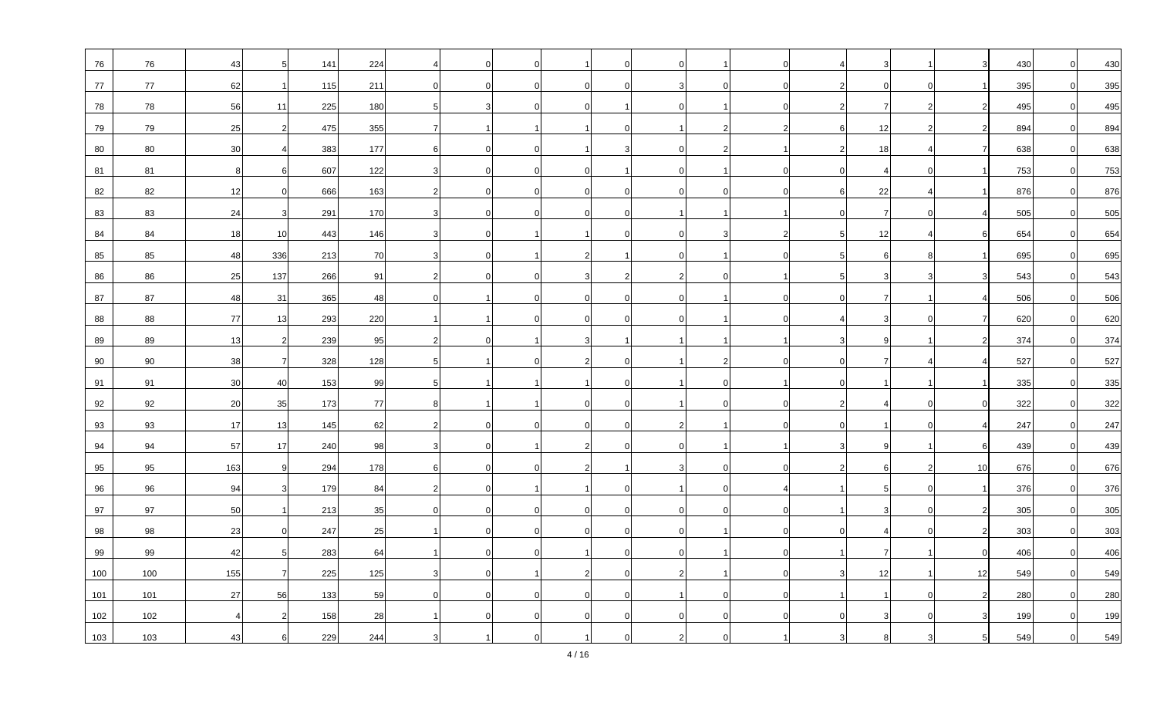| 76  | 76  | 43  |               | 141 | 224   |          |              |          |          |                |  |    |                 | 430 | $\Omega$       | 430 |
|-----|-----|-----|---------------|-----|-------|----------|--------------|----------|----------|----------------|--|----|-----------------|-----|----------------|-----|
| 77  | 77  | 62  |               | 115 | $211$ | $\Omega$ |              | $\Omega$ |          | $\Omega$       |  |    |                 | 395 | $\Omega$       | 395 |
| 78  | 78  | 56  | 11            | 225 | 180   |          |              |          |          |                |  |    |                 | 495 | $\Omega$       | 495 |
| 79  | 79  | 25  |               | 475 | 355   | 7        |              |          |          |                |  | 12 |                 | 894 | $\overline{0}$ | 894 |
| 80  | 80  | 30  |               | 383 | 177   | 6        | <sup>0</sup> | $\Omega$ |          |                |  | 18 |                 | 638 | $\Omega$       | 638 |
| 81  | 81  | 8   |               | 607 | 122   |          |              |          |          |                |  |    |                 | 753 | $\Omega$       | 753 |
| 82  | 82  | 12  |               | 666 | 163   |          |              |          |          | $\Omega$       |  | 22 |                 | 876 | $\Omega$       | 876 |
| 83  | 83  | 24  |               | 291 | 170   |          |              | $\Omega$ |          |                |  |    |                 | 505 | $\Omega$       | 505 |
| 84  | 84  | 18  | 10            | 443 | 146   |          |              |          |          |                |  | 12 |                 | 654 | $\Omega$       | 654 |
| 85  | 85  | 48  | 336           | 213 | 70    |          |              |          |          |                |  |    |                 | 695 | $\Omega$       | 695 |
| 86  | 86  | 25  | 137           | 266 | 91    | 2        |              | $\Omega$ |          | $\overline{0}$ |  |    |                 | 543 | $\Omega$       | 543 |
| 87  | 87  | 48  | 31            | 365 | 48    |          |              |          |          |                |  |    |                 | 506 | $\Omega$       | 506 |
| 88  | 88  | 77  | 13            | 293 | 220   |          |              |          |          |                |  |    |                 | 620 | $\Omega$       | 620 |
| 89  | 89  | 13  | $\mathcal{P}$ | 239 | 95    | 2        |              |          |          |                |  |    |                 | 374 | $\Omega$       | 374 |
| 90  | 90  | 38  | 7             | 328 | 128   |          |              |          |          |                |  |    |                 | 527 | $\Omega$       | 527 |
| 91  | 91  | 30  | 40            | 153 | 99    |          |              |          |          |                |  |    |                 | 335 | $\Omega$       | 335 |
| 92  | 92  | 20  | 35            | 173 | 77    |          |              |          |          | $\Omega$       |  |    |                 | 322 | $\Omega$       | 322 |
| 93  | 93  | 17  | 13            | 145 | 62    |          |              |          |          |                |  |    |                 | 247 | $\Omega$       | 247 |
| 94  | 94  | 57  | 17            | 240 | 98    |          |              |          |          |                |  |    | 6               | 439 | $\Omega$       | 439 |
| 95  | 95  | 163 | -9            | 294 | 178   | 6        | $\Omega$     | $\Omega$ |          | $\overline{0}$ |  |    | 10 <sup>1</sup> | 676 | $\Omega$       | 676 |
| 96  | 96  | 94  |               | 179 | 84    |          |              |          |          | $\overline{0}$ |  |    |                 | 376 | $\Omega$       | 376 |
| 97  | 97  | 50  |               | 213 | 35    |          |              |          |          | $\Omega$       |  |    |                 | 305 | $\Omega$       | 305 |
| 98  | 98  | 23  |               | 247 | 25    |          |              |          |          |                |  |    |                 | 303 |                | 303 |
| 99  | 99  | 42  |               | 283 | 64    |          |              |          | $\Omega$ |                |  |    |                 | 406 | $\Omega$       | 406 |
| 100 | 100 | 155 |               | 225 | 125   |          |              |          |          |                |  | 12 | 12              | 549 | $\Omega$       | 549 |
| 101 | 101 | 27  | 56            | 133 | 59    | $\Omega$ |              | $\Omega$ |          | $\Omega$       |  |    |                 | 280 | $\Omega$       | 280 |
| 102 | 102 |     |               | 158 | 28    |          |              |          |          | $\Omega$       |  |    |                 | 199 |                | 199 |
| 103 | 103 | 43  |               | 229 | 244   |          |              |          |          |                |  |    |                 | 549 |                | 549 |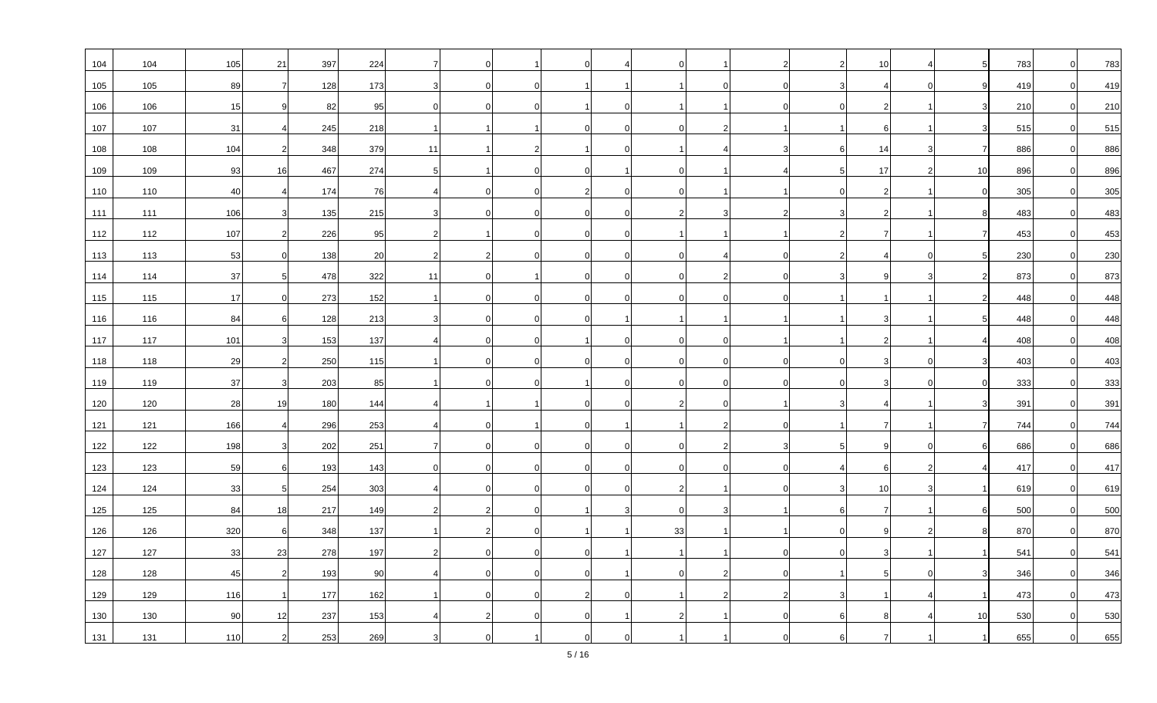| 104 | 104 | 105 | 21             | 397 | 224 | 7        |          |               |  |    |                |   | 10 |                | 783 | $\Omega$       | 783 |
|-----|-----|-----|----------------|-----|-----|----------|----------|---------------|--|----|----------------|---|----|----------------|-----|----------------|-----|
| 105 | 105 | 89  | 7              | 128 | 173 |          |          | $\Omega$      |  |    | $\overline{0}$ |   |    |                | 419 | $\overline{0}$ | 419 |
| 106 | 106 | 15  |                | 82  | 95  |          |          |               |  |    |                |   |    |                | 210 | $\overline{0}$ | 210 |
| 107 | 107 | 31  |                | 245 | 218 |          |          |               |  |    |                |   |    |                | 515 | $\overline{0}$ | 515 |
| 108 | 108 | 104 | 2              | 348 | 379 | 11       |          | $\mathcal{P}$ |  |    |                | 6 | 14 | $\overline{7}$ | 886 | $\Omega$       | 886 |
| 109 | 109 | 93  | 16             | 467 | 274 | 5        |          |               |  |    |                |   | 17 | 10             | 896 | $\Omega$       | 896 |
| 110 | 110 | 40  |                | 174 | 76  |          |          |               |  |    |                |   |    |                | 305 | $\Omega$       | 305 |
| 111 | 111 | 106 |                | 135 | 215 |          |          | $\Omega$      |  |    | 3              |   |    |                | 483 | $\Omega$       | 483 |
| 112 | 112 | 107 |                | 226 | 95  |          |          |               |  |    |                |   |    |                | 453 | $\overline{0}$ | 453 |
| 113 | 113 | 53  | $\Omega$       | 138 | 20  |          |          |               |  |    |                |   |    |                | 230 | $\overline{0}$ | 230 |
| 114 | 114 | 37  |                | 478 | 322 | 11       | $\Omega$ |               |  |    | $\overline{2}$ |   |    |                | 873 | $\overline{0}$ | 873 |
| 115 | 115 | 17  |                | 273 | 152 |          |          |               |  |    | $\Omega$       |   |    |                | 448 | $\Omega$       | 448 |
| 116 | 116 | 84  |                | 128 | 213 |          |          |               |  |    |                |   |    |                | 448 | $\Omega$       | 448 |
| 117 | 117 | 101 |                | 153 | 137 |          |          | $\Omega$      |  |    | $\overline{0}$ |   |    |                | 408 | $\Omega$       | 408 |
| 118 | 118 | 29  |                | 250 | 115 |          |          |               |  |    | $\overline{0}$ |   |    |                | 403 | $\Omega$       | 403 |
| 119 | 119 | 37  |                | 203 | 85  |          |          |               |  |    | $\Omega$       |   |    |                | 333 | $\Omega$       | 333 |
| 120 | 120 | 28  | 19             | 180 | 144 |          |          |               |  |    | $\Omega$       |   |    |                | 391 | $\Omega$       | 391 |
| 121 | 121 | 166 |                | 296 | 253 |          |          |               |  |    |                |   |    |                | 744 | $\overline{0}$ | 744 |
| 122 | 122 | 198 |                | 202 | 251 |          |          |               |  |    | 2              |   |    |                | 686 | $\Omega$       | 686 |
| 123 | 123 | 59  | 6              | 193 | 143 | $\Omega$ |          | $\Omega$      |  |    | $\overline{0}$ |   | 6  |                | 417 | $\Omega$       | 417 |
| 124 | 124 | 33  |                | 254 | 303 |          |          |               |  |    |                |   | 10 |                | 619 | $\overline{0}$ | 619 |
| 125 | 125 | 84  | 18             | 217 | 149 |          |          |               |  |    |                |   |    |                | 500 | $\overline{0}$ | 500 |
| 126 | 126 | 320 | 6              | 348 | 137 |          |          |               |  | 33 |                |   |    |                | 870 | $\Omega$       | 870 |
| 127 | 127 | 33  | 23             | 278 | 197 |          |          | $\Omega$      |  |    |                |   |    |                | 541 | $\Omega$       | 541 |
| 128 | 128 | 45  |                | 193 | 90  |          |          |               |  |    |                |   |    |                | 346 | $\Omega$       | 346 |
| 129 | 129 | 116 | $\overline{1}$ | 177 | 162 |          |          | $\Omega$      |  |    | 2              |   |    |                | 473 | $\Omega$       | 473 |
| 130 | 130 | 90  | 12             | 237 | 153 |          |          |               |  |    |                |   |    | 10             | 530 | $\Omega$       | 530 |
| 131 | 131 | 110 |                | 253 | 269 |          |          |               |  |    |                |   |    |                | 655 | $\Omega$       | 655 |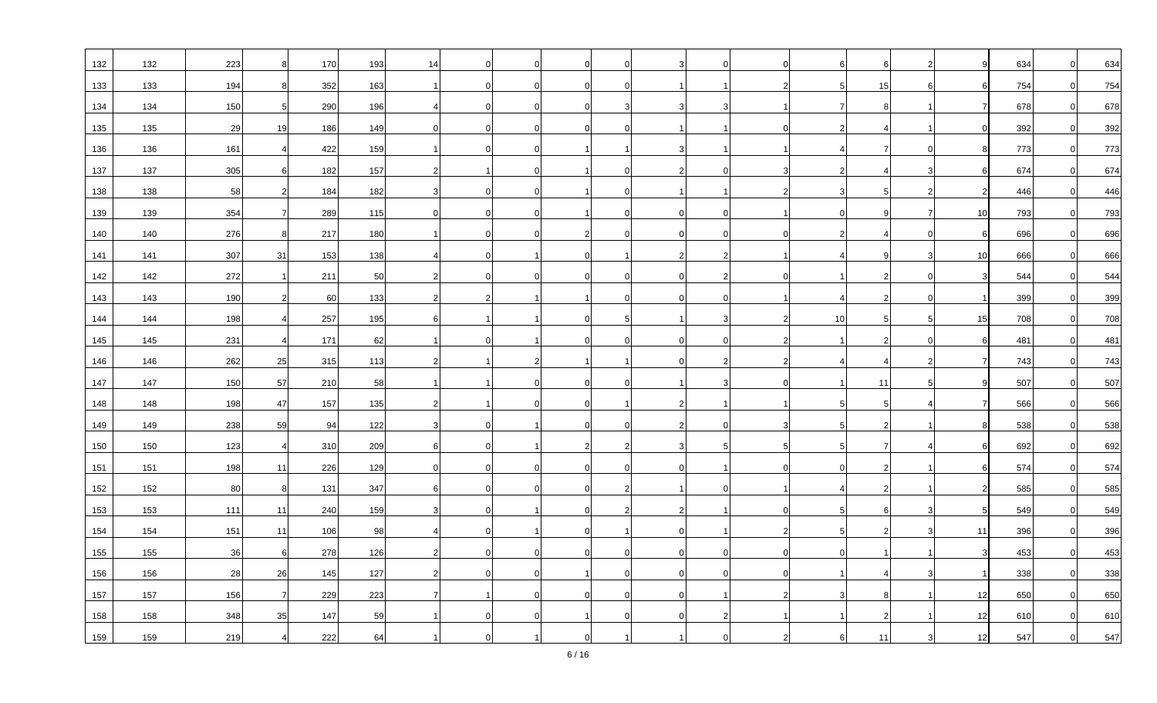| 132 | 132 | 223 | 8              | 170 | 193 | 14       |              |                |    | $\overline{0}$ |    |    |    | 634 | $\overline{0}$ | 634 |
|-----|-----|-----|----------------|-----|-----|----------|--------------|----------------|----|----------------|----|----|----|-----|----------------|-----|
| 133 | 133 | 194 | 8              | 352 | 163 |          | <sup>0</sup> | $\Omega$       |    |                |    | 15 | 6  | 754 | $\Omega$       | 754 |
| 134 | 134 | 150 | -5             | 290 | 196 |          |              |                |    | 3              |    |    |    | 678 | $\overline{0}$ | 678 |
| 135 | 135 | 29  | 19             | 186 | 149 |          |              | $\Omega$       |    |                |    |    |    | 392 | $\overline{0}$ | 392 |
| 136 | 136 | 161 | $\overline{a}$ | 422 | 159 |          | 0            | $\overline{0}$ |    |                |    |    | 8  | 773 | $\Omega$       | 773 |
| 137 | 137 | 305 |                | 182 | 157 |          |              |                |    | $\Omega$       |    |    |    | 674 | $\Omega$       | 674 |
| 138 | 138 | 58  |                | 184 | 182 |          |              |                |    |                |    |    |    | 446 | $\Omega$       | 446 |
| 139 | 139 | 354 | 7              | 289 | 115 | ∩        | $\Omega$     | $\Omega$       |    | $\overline{0}$ |    |    | 10 | 793 | $\Omega$       | 793 |
| 140 | 140 | 276 | 8              | 217 | 180 |          |              |                |    | $\Omega$       |    |    | ĥ  | 696 | $\overline{0}$ | 696 |
| 141 | 141 | 307 | 31             | 153 | 138 |          |              |                |    |                |    |    | 10 | 666 | $\overline{0}$ | 666 |
| 142 | 142 | 272 |                | 211 | 50  |          | $\Omega$     | $\Omega$       |    | $\overline{2}$ |    |    | 3  | 544 | $\Omega$       | 544 |
| 143 | 143 | 190 |                | 60  | 133 |          |              |                |    | $\Omega$       |    |    |    | 399 | $\Omega$       | 399 |
| 144 | 144 | 198 |                | 257 | 195 |          |              |                | .5 | 3              | 10 | 5  | 15 | 708 | $\overline{0}$ | 708 |
| 145 | 145 | 231 | $\overline{4}$ | 171 | 62  |          |              |                |    | $\mathbf 0$    |    |    | 6  | 481 | $\overline{0}$ | 481 |
| 146 | 146 | 262 | 25             | 315 | 113 |          |              |                |    |                |    |    |    | 743 | $\Omega$       | 743 |
| 147 | 147 | 150 | 57             | 210 | 58  |          |              |                |    |                |    | 11 |    | 507 | $\Omega$       | 507 |
| 148 | 148 | 198 | 47             | 157 | 135 |          |              |                |    |                |    |    |    | 566 | $\Omega$       | 566 |
| 149 | 149 | 238 | 59             | 94  | 122 |          |              |                |    | $\overline{0}$ |    |    |    | 538 | $\overline{0}$ | 538 |
| 150 | 150 | 123 | $\overline{a}$ | 310 | 209 |          |              |                |    | 5              |    |    | 6  | 692 | $\Omega$       | 692 |
| 151 | 151 | 198 | 11             | 226 | 129 | $\Omega$ | $\Omega$     | $\Omega$       |    |                |    |    | 6  | 574 | $\Omega$       | 574 |
| 152 | 152 | 80  | 8              | 131 | 347 |          |              |                |    | $\overline{0}$ |    |    |    | 585 | $\overline{0}$ | 585 |
| 153 | 153 | 111 | 11             | 240 | 159 |          |              |                |    |                |    |    |    | 549 | $\Omega$       | 549 |
| 154 | 154 | 151 | 11             | 106 | 98  |          |              |                |    |                |    |    | 11 | 396 |                | 396 |
| 155 | 155 | 36  | 6              | 278 | 126 |          |              |                |    | $\Omega$       |    |    | 3  | 453 | $\Omega$       | 453 |
| 156 | 156 | 28  | 26             | 145 | 127 |          |              |                |    | - 0            |    |    |    | 338 | $\overline{0}$ | 338 |
| 157 | 157 | 156 | $\overline{7}$ | 229 | 223 |          |              | $\Omega$       |    |                |    |    | 12 | 650 | $\Omega$       | 650 |
| 158 | 158 | 348 | 35             | 147 | 59  |          |              |                |    |                |    |    | 12 | 610 | $\Omega$       | 610 |
| 159 | 159 | 219 |                | 222 | 64  |          |              |                |    |                |    |    | 12 | 547 | $\Omega$       | 547 |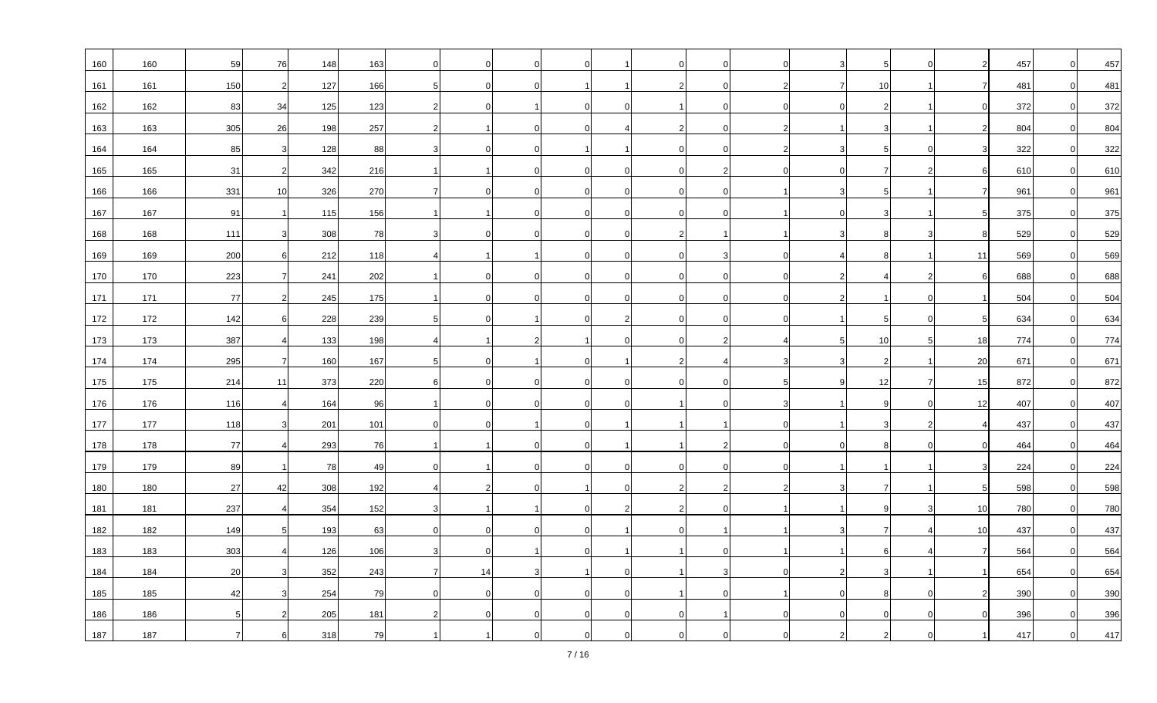| 160 | 160 | 59             | 76                    | 148 | 163 |          |                |          |  | $\overline{0}$ |  |    |    | 457 |          | 457 |
|-----|-----|----------------|-----------------------|-----|-----|----------|----------------|----------|--|----------------|--|----|----|-----|----------|-----|
| 161 | 161 | 150            | 2                     | 127 | 166 | $\Omega$ | $\Omega$       |          |  | $\Omega$       |  | 10 |    | 481 |          | 481 |
| 162 | 162 | 83             | 34                    | 125 | 123 |          |                |          |  | $\mathbf 0$    |  |    |    | 372 |          | 372 |
| 163 | 163 | 305            | 26                    | 198 | 257 |          |                |          |  | $\Omega$       |  |    |    | 804 |          | 804 |
| 164 | 164 | 85             | $\overline{3}$        | 128 | 88  |          | $\Omega$       |          |  | $\mathbf 0$    |  | 5  |    | 322 |          | 322 |
| 165 | 165 | 31             |                       | 342 | 216 |          | $\Omega$       |          |  | $\overline{2}$ |  |    |    | 610 |          | 610 |
| 166 | 166 | 331            | 10                    | 326 | 270 |          | $\Omega$       |          |  | $\mathbf 0$    |  |    |    | 961 |          | 961 |
| 167 | 167 | 91             | $\mathbf{1}$          | 115 | 156 |          | $\Omega$       |          |  | $\overline{0}$ |  |    |    | 375 |          | 375 |
| 168 | 168 | 111            |                       | 308 | 78  |          |                |          |  |                |  |    |    | 529 |          | 529 |
| 169 |     |                |                       |     | 118 |          |                |          |  |                |  |    | 11 |     |          | 569 |
|     | 169 | 200            | 6                     | 212 |     |          |                |          |  | 3              |  |    |    | 569 |          |     |
| 170 | 170 | 223            | $\overline{7}$        | 241 | 202 |          | $\Omega$       |          |  | $\mathbf 0$    |  |    |    | 688 |          | 688 |
| 171 | 171 | 77             |                       | 245 | 175 |          | 0              | $\Omega$ |  | $\overline{0}$ |  |    |    | 504 |          | 504 |
| 172 | 172 | 142            |                       | 228 | 239 |          |                |          |  | $\mathbf 0$    |  | 5  |    | 634 |          | 634 |
| 173 | 173 | 387            |                       | 133 | 198 |          |                |          |  | 2              |  | 10 | 18 | 774 |          | 774 |
| 174 | 174 | 295            |                       | 160 | 167 |          |                |          |  |                |  |    | 20 | 671 |          | 671 |
| 175 | 175 | 214            | 11                    | 373 | 220 |          | $\Omega$       |          |  | $\overline{0}$ |  | 12 | 15 | 872 |          | 872 |
| 176 | 176 | 116            | $\boldsymbol{\Delta}$ | 164 | 96  |          | $\Omega$       |          |  | $\Omega$       |  |    | 12 | 407 |          | 407 |
| 177 | 177 | 118            |                       | 201 | 101 |          |                |          |  |                |  |    |    | 437 |          | 437 |
| 178 | 178 | 77             |                       | 293 | 76  |          |                |          |  |                |  |    |    | 464 |          | 464 |
| 179 | 179 | 89             | $\overline{1}$        | 78  | 49  |          | $\Omega$       | ∩        |  | $\overline{0}$ |  |    |    | 224 |          | 224 |
| 180 | 180 | 27             | 42                    | 308 | 192 |          |                |          |  |                |  |    |    | 598 | $\Omega$ | 598 |
| 181 | 181 | 237            |                       | 354 | 152 |          |                |          |  | $\Omega$       |  |    | 10 | 780 |          | 780 |
| 182 | 182 | 149            | -5                    | 193 | 63  | $\Omega$ | $\Omega$       |          |  |                |  |    | 10 | 437 |          | 437 |
| 183 | 183 | 303            |                       | 126 | 106 |          |                |          |  | $\Omega$       |  |    |    | 564 |          | 564 |
| 184 | 184 | 20             |                       | 352 | 243 | 14       |                |          |  | 3              |  |    |    | 654 |          | 654 |
| 185 | 185 | 42             |                       | 254 | 79  | $\Omega$ | $\overline{0}$ |          |  | $\Omega$       |  |    |    | 390 |          | 390 |
| 186 | 186 | 5 <sub>l</sub> |                       | 205 | 181 |          |                |          |  |                |  |    |    | 396 |          | 396 |
| 187 | 187 |                |                       | 318 | 79  |          |                |          |  |                |  |    |    | 417 |          | 417 |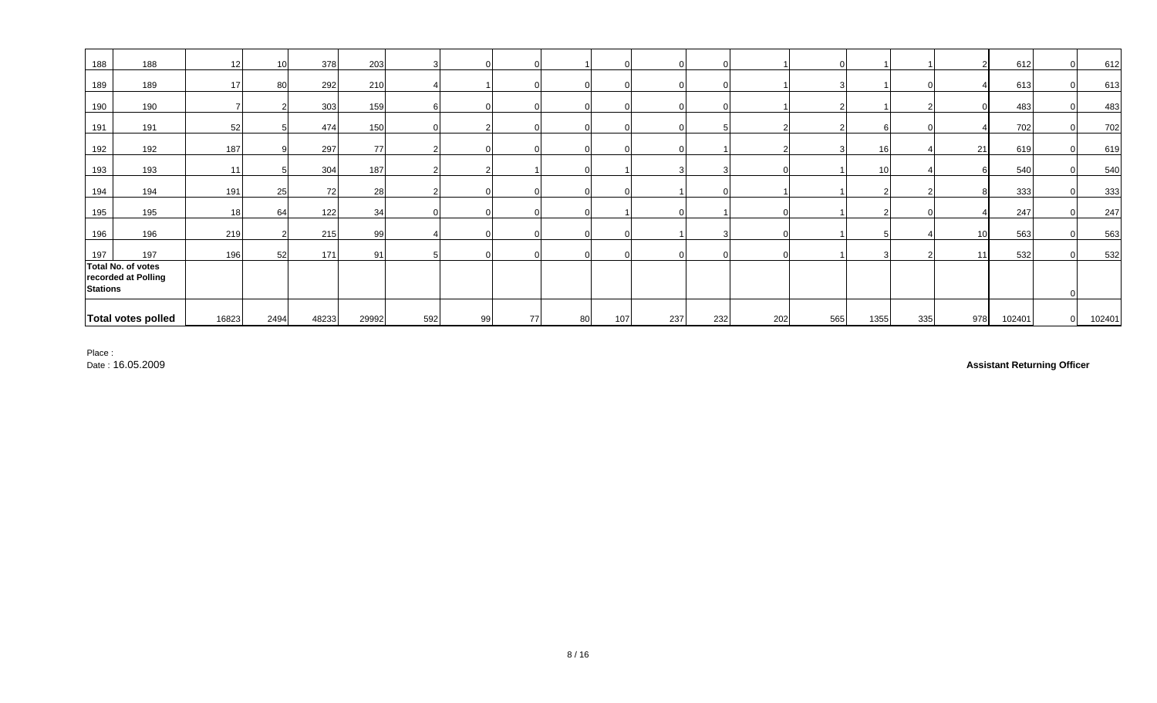| 188             | 188                                       | 12 <sup>1</sup> | 10 <sup>1</sup> | 378   | 203   |     | $\Omega$ |          |    | $\Omega$ |     |     |     |     |      |     |                 | 612    | $\Omega$       | 612    |
|-----------------|-------------------------------------------|-----------------|-----------------|-------|-------|-----|----------|----------|----|----------|-----|-----|-----|-----|------|-----|-----------------|--------|----------------|--------|
| 189             | 189                                       | 17              | 80              | 292   | 210   |     |          |          |    |          |     |     |     |     |      |     |                 | 613    | $\Omega$       | 613    |
| 190             | 190                                       |                 |                 | 303   | 159   |     |          |          |    |          |     |     |     |     |      |     |                 | 483    | $\Omega$       | 483    |
| 191             | 191                                       | 52              |                 | 474   | 150   |     |          |          |    | $\Omega$ |     |     |     |     |      |     |                 | 702    |                | 702    |
| 192             | 192                                       | 187             |                 | 297   | 77    |     |          |          |    |          |     |     |     |     | 16   |     | 21              | 619    |                | 619    |
| 193             | 193                                       | 11              |                 | 304   | 187   |     |          |          |    |          |     |     |     |     | 10   |     |                 | 540    | $\Omega$       | 540    |
| 194             | 194                                       | 191             | 25              | 72    | 28    |     |          |          |    |          |     |     |     |     |      |     |                 | 333    | $\Omega$       | 333    |
| 195             | 195                                       | 18              | 64              | 122   | 34    |     |          |          |    |          |     |     |     |     |      |     |                 | 247    | $\Omega$       | 247    |
| 196             | 196                                       | 219             |                 | 215   | 99    |     | $\Omega$ |          |    |          |     |     |     |     |      |     | 10 <sup>1</sup> | 563    | $\Omega$       | 563    |
| 197             | 197                                       | 196             | 52              | 171   | 91    |     | $\Omega$ | $\Omega$ |    | $\Omega$ |     |     |     |     |      |     | 11              | 532    | $\Omega$       | 532    |
| <b>Stations</b> | Total No. of votes<br>recorded at Polling |                 |                 |       |       |     |          |          |    |          |     |     |     |     |      |     |                 |        |                |        |
|                 | Total votes polled                        | 16823           | 2494            | 48233 | 29992 | 592 | 99       | 77       | 80 | 107      | 237 | 232 | 202 | 565 | 1355 | 335 | 978             | 102401 | $\overline{0}$ | 102401 |

Place :

Date : 16.05.2009

**Assistant Returning Officer**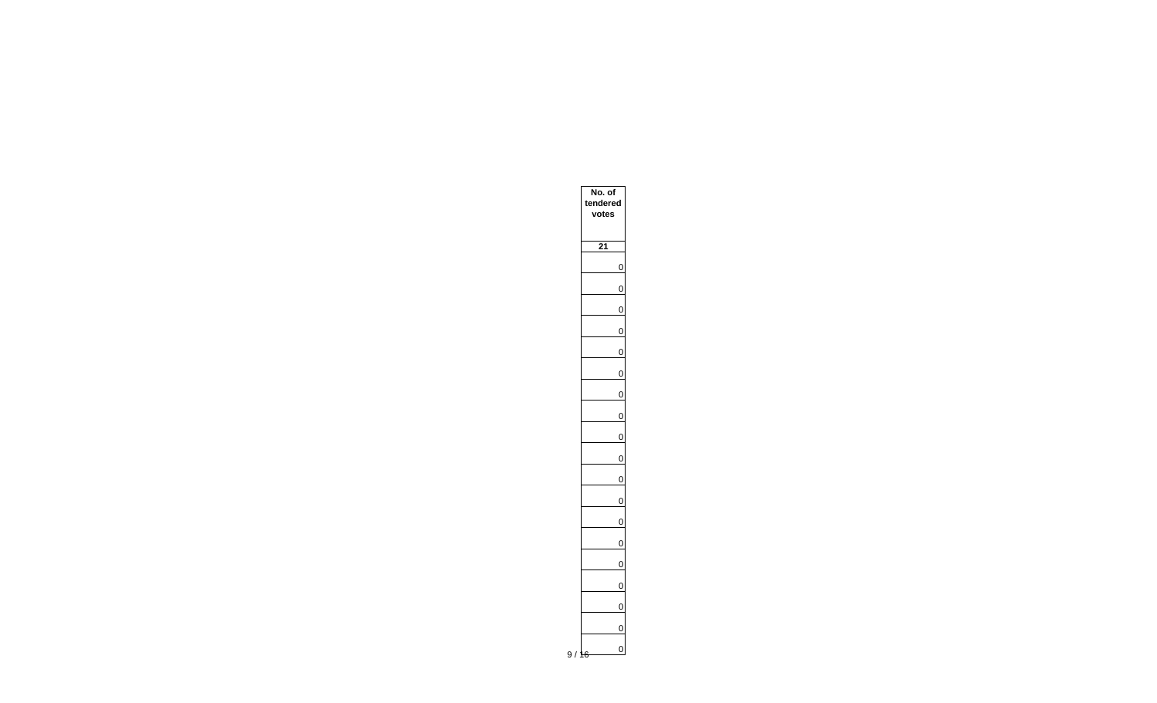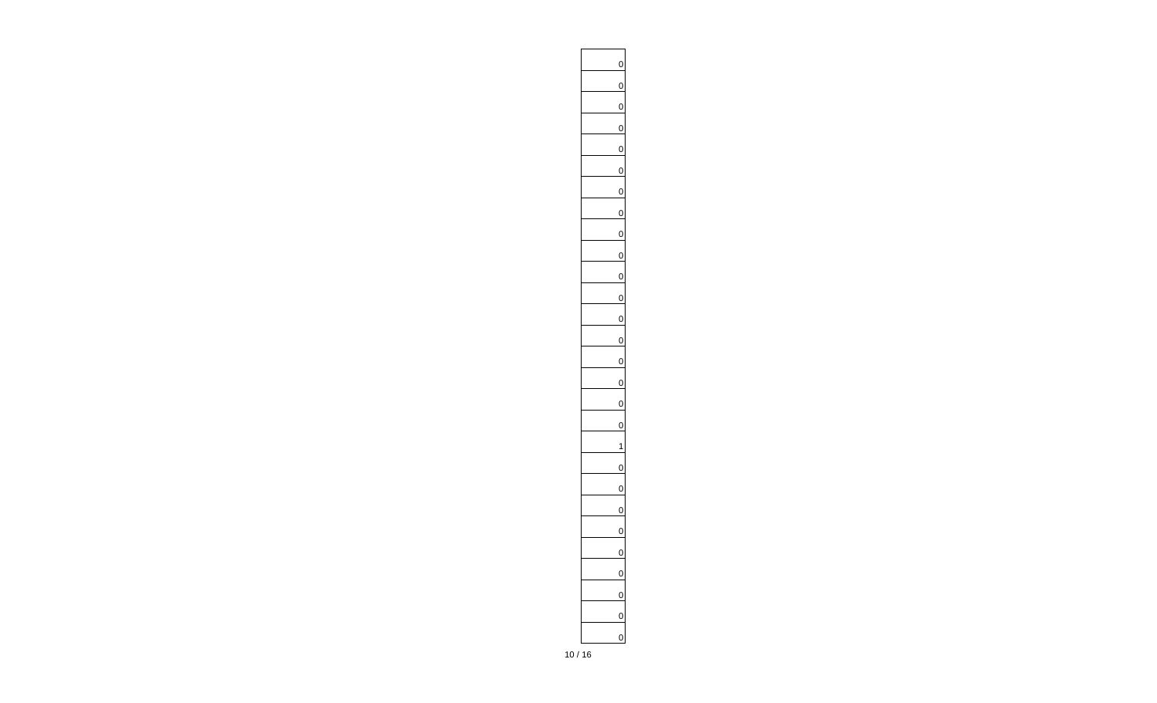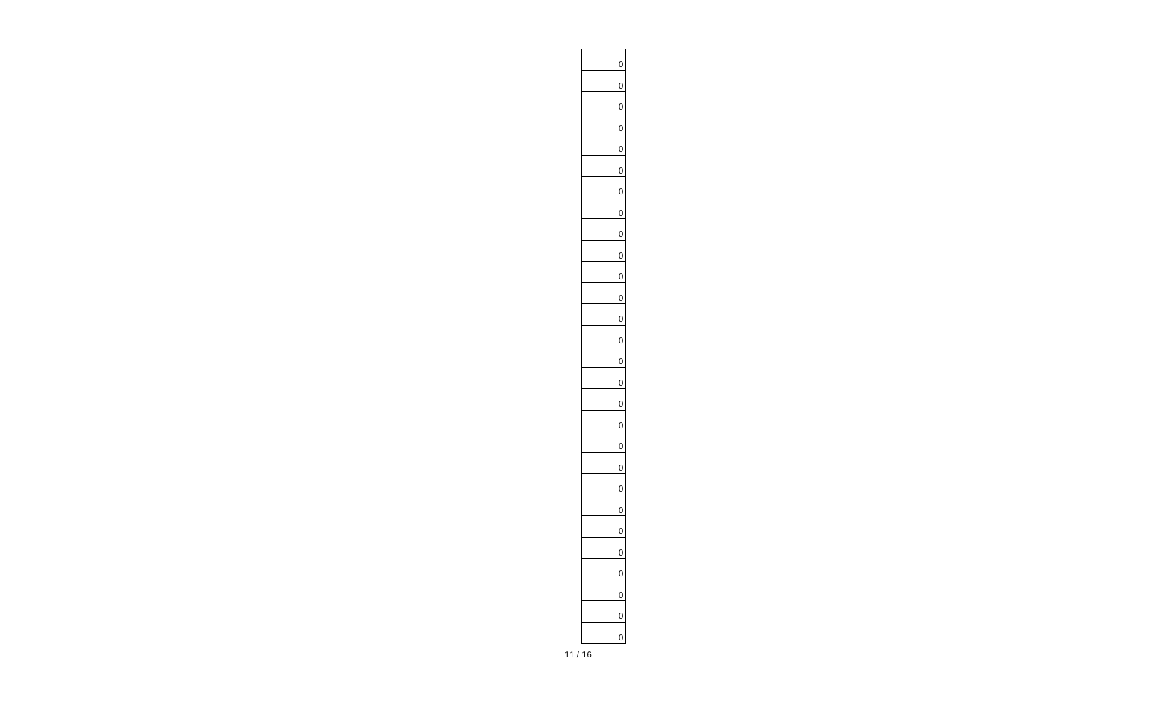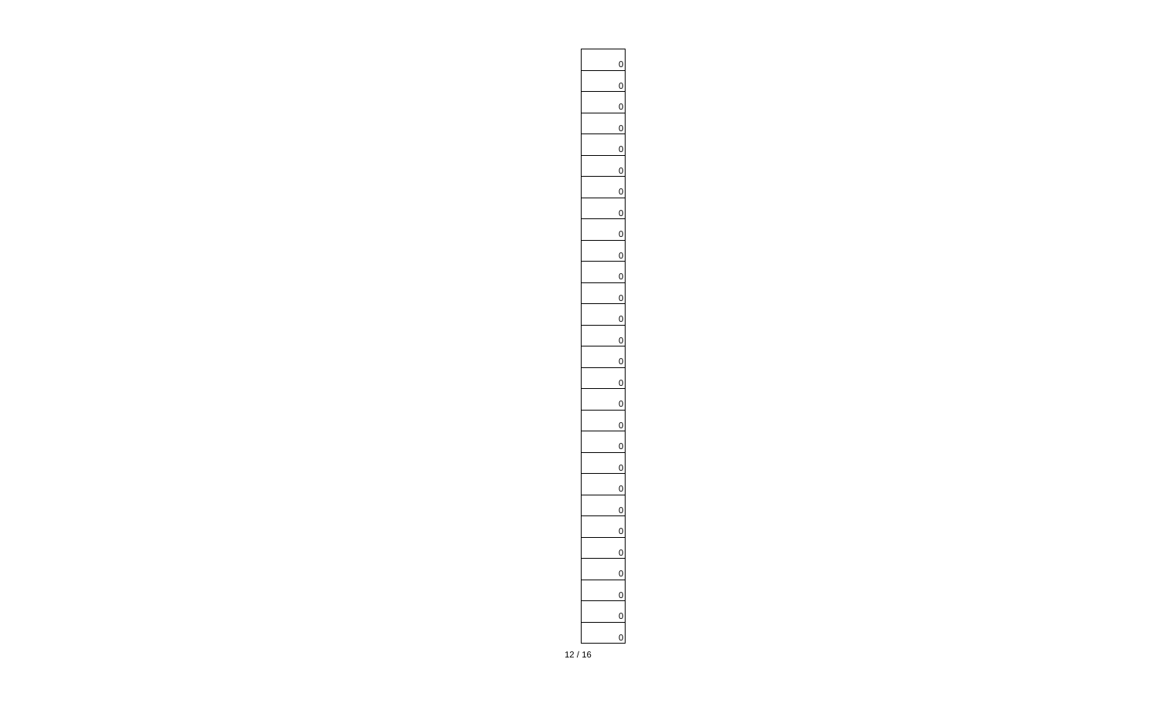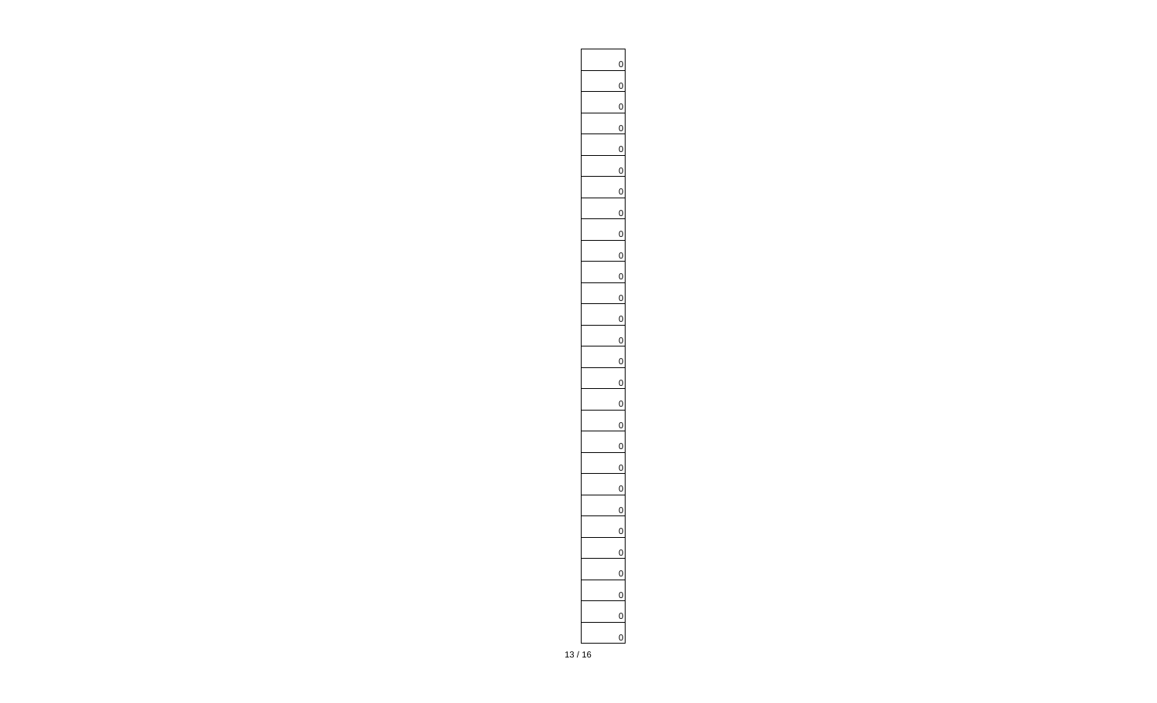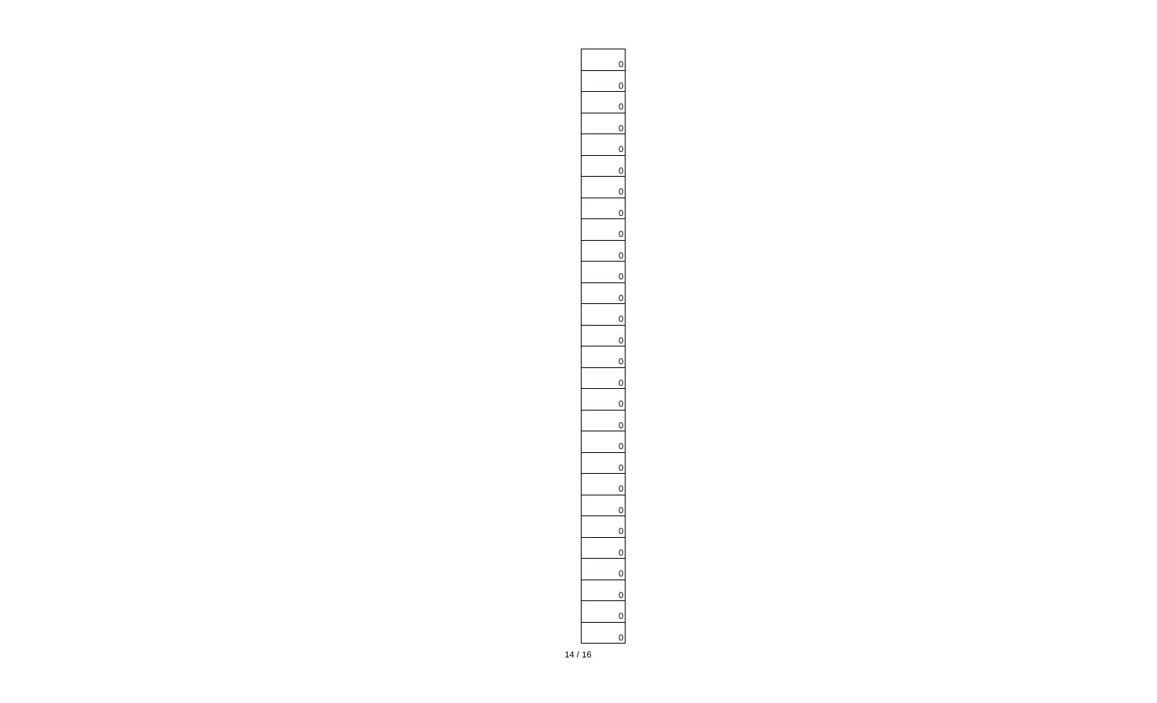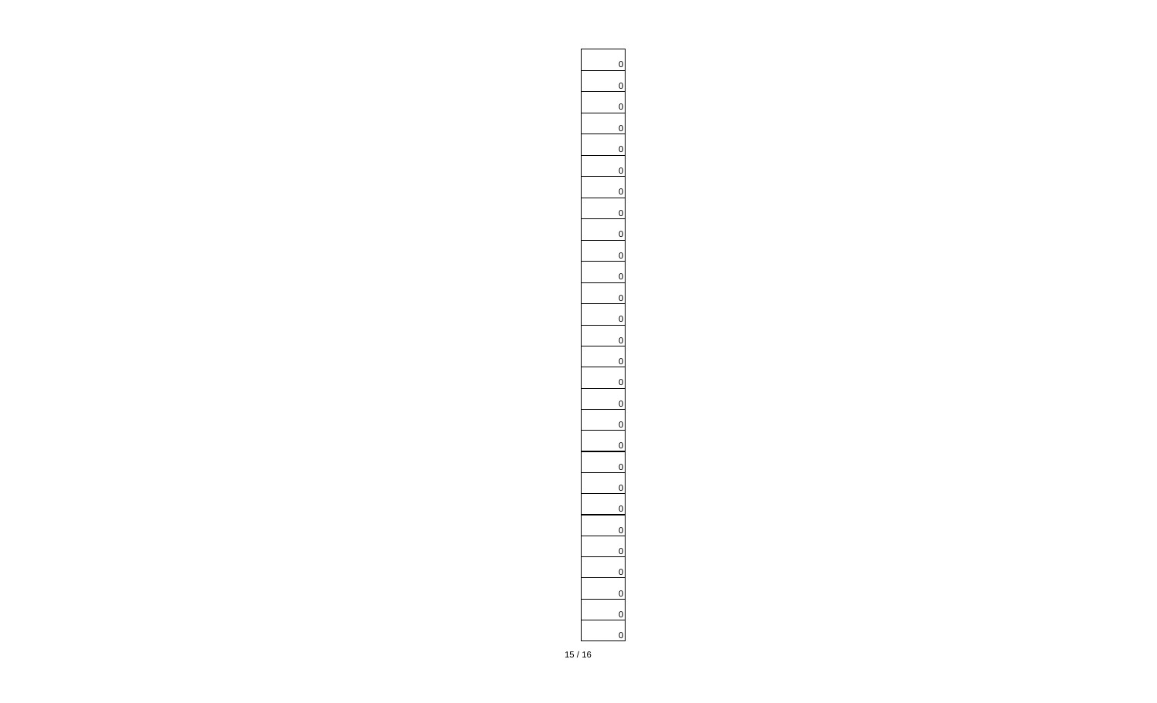